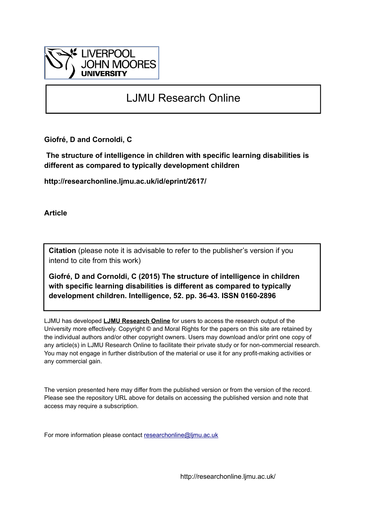

# LJMU Research Online

**Giofré, D and Cornoldi, C**

 **The structure of intelligence in children with specific learning disabilities is different as compared to typically development children**

**http://researchonline.ljmu.ac.uk/id/eprint/2617/**

**Article**

**Citation** (please note it is advisable to refer to the publisher's version if you intend to cite from this work)

**Giofré, D and Cornoldi, C (2015) The structure of intelligence in children with specific learning disabilities is different as compared to typically development children. Intelligence, 52. pp. 36-43. ISSN 0160-2896** 

LJMU has developed **[LJMU Research Online](http://researchonline.ljmu.ac.uk/)** for users to access the research output of the University more effectively. Copyright © and Moral Rights for the papers on this site are retained by the individual authors and/or other copyright owners. Users may download and/or print one copy of any article(s) in LJMU Research Online to facilitate their private study or for non-commercial research. You may not engage in further distribution of the material or use it for any profit-making activities or any commercial gain.

The version presented here may differ from the published version or from the version of the record. Please see the repository URL above for details on accessing the published version and note that access may require a subscription.

For more information please contact [researchonline@ljmu.ac.uk](mailto:researchonline@ljmu.ac.uk)

http://researchonline.ljmu.ac.uk/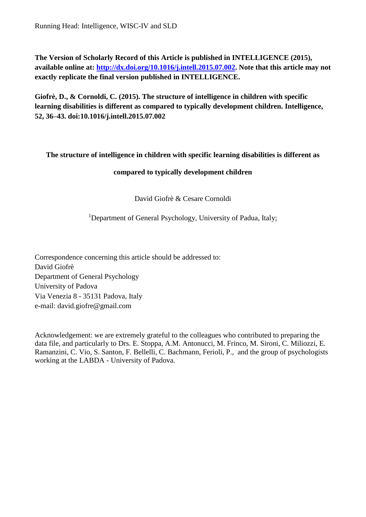**The Version of Scholarly Record of this Article is published in INTELLIGENCE (2015), available online at: [http://dx.doi.org/10.1016/j.intell.2015.07.002.](http://dx.doi.org/10.1016/j.intell.2015.07.002) Note that this article may not exactly replicate the final version published in INTELLIGENCE.** 

**Giofrè, D., & Cornoldi, C. (2015). The structure of intelligence in children with specific learning disabilities is different as compared to typically development children. Intelligence, 52, 36–43. doi:10.1016/j.intell.2015.07.002**

# **The structure of intelligence in children with specific learning disabilities is different as**

## **compared to typically development children**

David Giofrè & Cesare Cornoldi

<sup>1</sup>Department of General Psychology, University of Padua, Italy;

Correspondence concerning this article should be addressed to: David Giofrè Department of General Psychology University of Padova Via Venezia 8 - 35131 Padova, Italy e-mail: david.giofre@gmail.com

Acknowledgement: we are extremely grateful to the colleagues who contributed to preparing the data file, and particularly to Drs. E. Stoppa, A.M. Antonucci, M. Frinco, M. Sironi, C. Miliozzi, E. Ramanzini, C. Vio, S. Santon, F. Bellelli, C. Bachmann, Ferioli, P., and the group of psychologists working at the LABDA - University of Padova.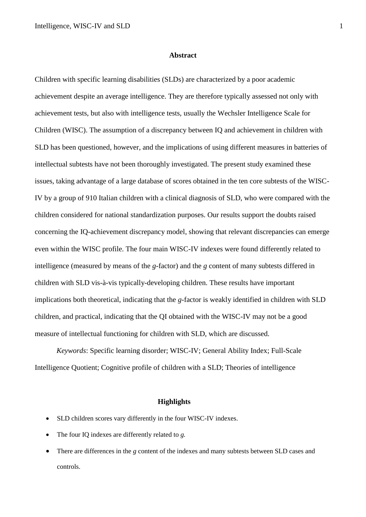#### **Abstract**

Children with specific learning disabilities (SLDs) are characterized by a poor academic achievement despite an average intelligence. They are therefore typically assessed not only with achievement tests, but also with intelligence tests, usually the Wechsler Intelligence Scale for Children (WISC). The assumption of a discrepancy between IQ and achievement in children with SLD has been questioned, however, and the implications of using different measures in batteries of intellectual subtests have not been thoroughly investigated. The present study examined these issues, taking advantage of a large database of scores obtained in the ten core subtests of the WISC-IV by a group of 910 Italian children with a clinical diagnosis of SLD, who were compared with the children considered for national standardization purposes. Our results support the doubts raised concerning the IQ-achievement discrepancy model, showing that relevant discrepancies can emerge even within the WISC profile. The four main WISC-IV indexes were found differently related to intelligence (measured by means of the *g*-factor) and the *g* content of many subtests differed in children with SLD vis-à-vis typically-developing children. These results have important implications both theoretical, indicating that the *g*-factor is weakly identified in children with SLD children, and practical, indicating that the QI obtained with the WISC-IV may not be a good measure of intellectual functioning for children with SLD, which are discussed.

*Keywords*: Specific learning disorder; WISC-IV; General Ability Index; Full-Scale Intelligence Quotient; Cognitive profile of children with a SLD; Theories of intelligence

#### **Highlights**

- SLD children scores vary differently in the four WISC-IV indexes.
- The four IO indexes are differently related to *g*.
- There are differences in the *g* content of the indexes and many subtests between SLD cases and controls.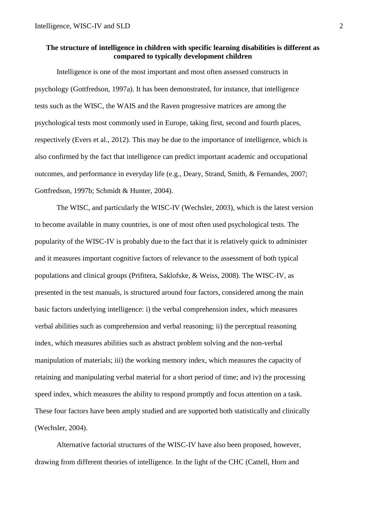## **The structure of intelligence in children with specific learning disabilities is different as compared to typically development children**

Intelligence is one of the most important and most often assessed constructs in psychology (Gottfredson, 1997a). It has been demonstrated, for instance, that intelligence tests such as the WISC, the WAIS and the Raven progressive matrices are among the psychological tests most commonly used in Europe, taking first, second and fourth places, respectively (Evers et al., 2012). This may be due to the importance of intelligence, which is also confirmed by the fact that intelligence can predict important academic and occupational outcomes, and performance in everyday life (e.g., Deary, Strand, Smith, & Fernandes, 2007; Gottfredson, 1997b; Schmidt & Hunter, 2004).

The WISC, and particularly the WISC-IV (Wechsler, 2003), which is the latest version to become available in many countries, is one of most often used psychological tests. The popularity of the WISC-IV is probably due to the fact that it is relatively quick to administer and it measures important cognitive factors of relevance to the assessment of both typical populations and clinical groups (Prifitera, Saklofske, & Weiss, 2008). The WISC-IV, as presented in the test manuals, is structured around four factors, considered among the main basic factors underlying intelligence: i) the verbal comprehension index, which measures verbal abilities such as comprehension and verbal reasoning; ii) the perceptual reasoning index, which measures abilities such as abstract problem solving and the non-verbal manipulation of materials; iii) the working memory index, which measures the capacity of retaining and manipulating verbal material for a short period of time; and iv) the processing speed index, which measures the ability to respond promptly and focus attention on a task. These four factors have been amply studied and are supported both statistically and clinically (Wechsler, 2004).

Alternative factorial structures of the WISC-IV have also been proposed, however, drawing from different theories of intelligence. In the light of the CHC (Cattell, Horn and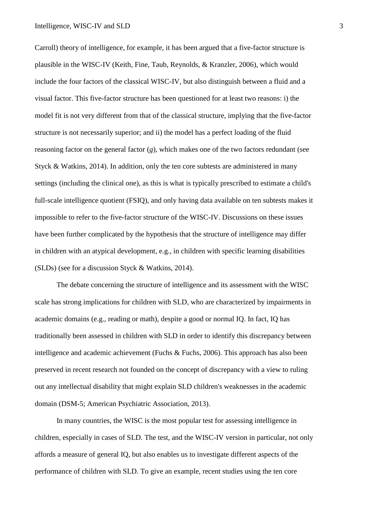Carroll) theory of intelligence, for example, it has been argued that a five-factor structure is plausible in the WISC-IV (Keith, Fine, Taub, Reynolds, & Kranzler, 2006), which would include the four factors of the classical WISC-IV, but also distinguish between a fluid and a visual factor. This five-factor structure has been questioned for at least two reasons: i) the model fit is not very different from that of the classical structure, implying that the five-factor structure is not necessarily superior; and ii) the model has a perfect loading of the fluid reasoning factor on the general factor (*g*), which makes one of the two factors redundant (see Styck & Watkins, 2014). In addition, only the ten core subtests are administered in many settings (including the clinical one), as this is what is typically prescribed to estimate a child's full-scale intelligence quotient (FSIQ), and only having data available on ten subtests makes it impossible to refer to the five-factor structure of the WISC-IV. Discussions on these issues have been further complicated by the hypothesis that the structure of intelligence may differ in children with an atypical development, e.g., in children with specific learning disabilities (SLDs) (see for a discussion Styck & Watkins, 2014).

The debate concerning the structure of intelligence and its assessment with the WISC scale has strong implications for children with SLD, who are characterized by impairments in academic domains (e.g., reading or math), despite a good or normal IQ. In fact, IQ has traditionally been assessed in children with SLD in order to identify this discrepancy between intelligence and academic achievement (Fuchs & Fuchs, 2006). This approach has also been preserved in recent research not founded on the concept of discrepancy with a view to ruling out any intellectual disability that might explain SLD children's weaknesses in the academic domain (DSM-5; American Psychiatric Association, 2013).

In many countries, the WISC is the most popular test for assessing intelligence in children, especially in cases of SLD. The test, and the WISC-IV version in particular, not only affords a measure of general IQ, but also enables us to investigate different aspects of the performance of children with SLD. To give an example, recent studies using the ten core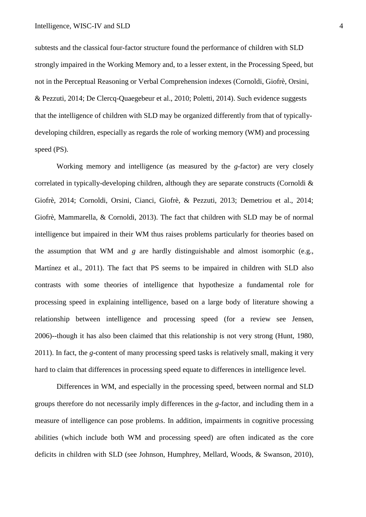subtests and the classical four-factor structure found the performance of children with SLD strongly impaired in the Working Memory and, to a lesser extent, in the Processing Speed, but not in the Perceptual Reasoning or Verbal Comprehension indexes (Cornoldi, Giofrè, Orsini, & Pezzuti, 2014; De Clercq-Quaegebeur et al., 2010; Poletti, 2014). Such evidence suggests that the intelligence of children with SLD may be organized differently from that of typicallydeveloping children, especially as regards the role of working memory (WM) and processing speed (PS).

Working memory and intelligence (as measured by the *g*-factor) are very closely correlated in typically-developing children, although they are separate constructs (Cornoldi & Giofrè, 2014; Cornoldi, Orsini, Cianci, Giofrè, & Pezzuti, 2013; Demetriou et al., 2014; Giofrè, Mammarella, & Cornoldi, 2013). The fact that children with SLD may be of normal intelligence but impaired in their WM thus raises problems particularly for theories based on the assumption that WM and *g* are hardly distinguishable and almost isomorphic (e.g., Martínez et al., 2011). The fact that PS seems to be impaired in children with SLD also contrasts with some theories of intelligence that hypothesize a fundamental role for processing speed in explaining intelligence, based on a large body of literature showing a relationship between intelligence and processing speed (for a review see Jensen, 2006)--though it has also been claimed that this relationship is not very strong (Hunt, 1980, 2011). In fact, the *g*-content of many processing speed tasks is relatively small, making it very hard to claim that differences in processing speed equate to differences in intelligence level.

Differences in WM, and especially in the processing speed, between normal and SLD groups therefore do not necessarily imply differences in the *g*-factor, and including them in a measure of intelligence can pose problems. In addition, impairments in cognitive processing abilities (which include both WM and processing speed) are often indicated as the core deficits in children with SLD (see Johnson, Humphrey, Mellard, Woods, & Swanson, 2010),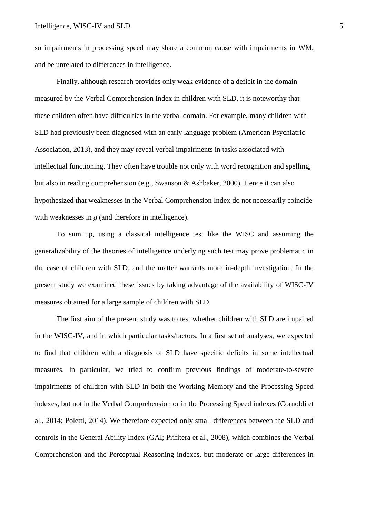so impairments in processing speed may share a common cause with impairments in WM, and be unrelated to differences in intelligence.

Finally, although research provides only weak evidence of a deficit in the domain measured by the Verbal Comprehension Index in children with SLD, it is noteworthy that these children often have difficulties in the verbal domain. For example, many children with SLD had previously been diagnosed with an early language problem (American Psychiatric Association, 2013), and they may reveal verbal impairments in tasks associated with intellectual functioning. They often have trouble not only with word recognition and spelling, but also in reading comprehension (e.g., Swanson & Ashbaker, 2000). Hence it can also hypothesized that weaknesses in the Verbal Comprehension Index do not necessarily coincide with weaknesses in *g* (and therefore in intelligence).

To sum up, using a classical intelligence test like the WISC and assuming the generalizability of the theories of intelligence underlying such test may prove problematic in the case of children with SLD, and the matter warrants more in-depth investigation. In the present study we examined these issues by taking advantage of the availability of WISC-IV measures obtained for a large sample of children with SLD.

The first aim of the present study was to test whether children with SLD are impaired in the WISC-IV, and in which particular tasks/factors. In a first set of analyses, we expected to find that children with a diagnosis of SLD have specific deficits in some intellectual measures. In particular, we tried to confirm previous findings of moderate-to-severe impairments of children with SLD in both the Working Memory and the Processing Speed indexes, but not in the Verbal Comprehension or in the Processing Speed indexes (Cornoldi et al., 2014; Poletti, 2014). We therefore expected only small differences between the SLD and controls in the General Ability Index (GAI; Prifitera et al., 2008), which combines the Verbal Comprehension and the Perceptual Reasoning indexes, but moderate or large differences in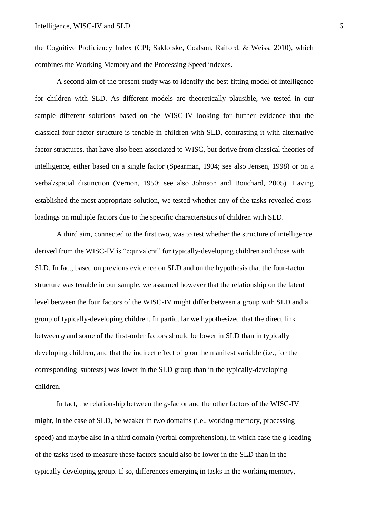the Cognitive Proficiency Index (CPI; Saklofske, Coalson, Raiford, & Weiss, 2010), which combines the Working Memory and the Processing Speed indexes.

A second aim of the present study was to identify the best-fitting model of intelligence for children with SLD. As different models are theoretically plausible, we tested in our sample different solutions based on the WISC-IV looking for further evidence that the classical four-factor structure is tenable in children with SLD, contrasting it with alternative factor structures, that have also been associated to WISC, but derive from classical theories of intelligence, either based on a single factor (Spearman, 1904; see also Jensen, 1998) or on a verbal/spatial distinction (Vernon, 1950; see also Johnson and Bouchard, 2005). Having established the most appropriate solution, we tested whether any of the tasks revealed crossloadings on multiple factors due to the specific characteristics of children with SLD.

A third aim, connected to the first two, was to test whether the structure of intelligence derived from the WISC-IV is "equivalent" for typically-developing children and those with SLD. In fact, based on previous evidence on SLD and on the hypothesis that the four-factor structure was tenable in our sample, we assumed however that the relationship on the latent level between the four factors of the WISC-IV might differ between a group with SLD and a group of typically-developing children. In particular we hypothesized that the direct link between *g* and some of the first-order factors should be lower in SLD than in typically developing children, and that the indirect effect of *g* on the manifest variable (i.e., for the corresponding subtests) was lower in the SLD group than in the typically-developing children.

In fact, the relationship between the *g*-factor and the other factors of the WISC-IV might, in the case of SLD, be weaker in two domains (i.e., working memory, processing speed) and maybe also in a third domain (verbal comprehension), in which case the *g*-loading of the tasks used to measure these factors should also be lower in the SLD than in the typically-developing group. If so, differences emerging in tasks in the working memory,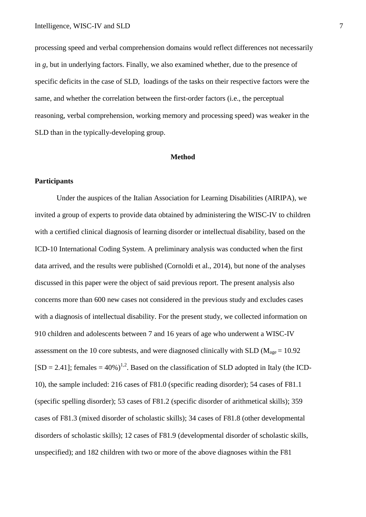processing speed and verbal comprehension domains would reflect differences not necessarily in *g*, but in underlying factors. Finally, we also examined whether, due to the presence of specific deficits in the case of SLD, loadings of the tasks on their respective factors were the same, and whether the correlation between the first-order factors (i.e., the perceptual reasoning, verbal comprehension, working memory and processing speed) was weaker in the SLD than in the typically-developing group.

#### **Method**

### **Participants**

Under the auspices of the Italian Association for Learning Disabilities (AIRIPA), we invited a group of experts to provide data obtained by administering the WISC-IV to children with a certified clinical diagnosis of learning disorder or intellectual disability, based on the ICD-10 International Coding System. A preliminary analysis was conducted when the first data arrived, and the results were published (Cornoldi et al., 2014), but none of the analyses discussed in this paper were the object of said previous report. The present analysis also concerns more than 600 new cases not considered in the previous study and excludes cases with a diagnosis of intellectual disability. For the present study, we collected information on 910 children and adolescents between 7 and 16 years of age who underwent a WISC-IV assessment on the 10 core subtests, and were diagnosed clinically with SLD ( $M_{\text{age}} = 10.92$ )  $[SD = 2.41]$ ; females = 40%)<sup>1,2</sup>. Based on the classification of SLD adopted in Italy (the ICD-10), the sample included: 216 cases of F81.0 (specific reading disorder); 54 cases of F81.1 (specific spelling disorder); 53 cases of F81.2 (specific disorder of arithmetical skills); 359 cases of F81.3 (mixed disorder of scholastic skills); 34 cases of F81.8 (other developmental disorders of scholastic skills); 12 cases of F81.9 (developmental disorder of scholastic skills, unspecified); and 182 children with two or more of the above diagnoses within the F81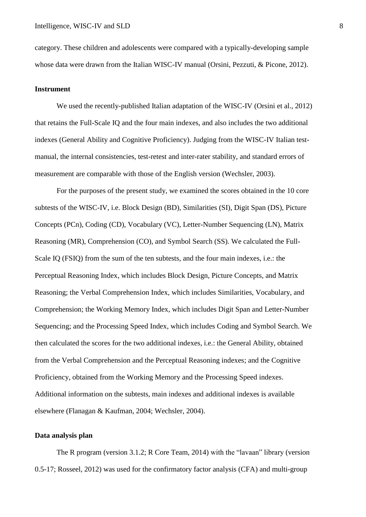category. These children and adolescents were compared with a typically-developing sample whose data were drawn from the Italian WISC-IV manual (Orsini, Pezzuti, & Picone, 2012).

#### **Instrument**

We used the recently-published Italian adaptation of the WISC-IV (Orsini et al., 2012) that retains the Full-Scale IQ and the four main indexes, and also includes the two additional indexes (General Ability and Cognitive Proficiency). Judging from the WISC-IV Italian testmanual, the internal consistencies, test-retest and inter-rater stability, and standard errors of measurement are comparable with those of the English version (Wechsler, 2003).

For the purposes of the present study, we examined the scores obtained in the 10 core subtests of the WISC-IV, i.e. Block Design (BD), Similarities (SI), Digit Span (DS), Picture Concepts (PCn), Coding (CD), Vocabulary (VC), Letter-Number Sequencing (LN), Matrix Reasoning (MR), Comprehension (CO), and Symbol Search (SS). We calculated the Full-Scale IQ (FSIQ) from the sum of the ten subtests, and the four main indexes, i.e.: the Perceptual Reasoning Index, which includes Block Design, Picture Concepts, and Matrix Reasoning; the Verbal Comprehension Index, which includes Similarities, Vocabulary, and Comprehension; the Working Memory Index, which includes Digit Span and Letter-Number Sequencing; and the Processing Speed Index, which includes Coding and Symbol Search. We then calculated the scores for the two additional indexes, i.e.: the General Ability, obtained from the Verbal Comprehension and the Perceptual Reasoning indexes; and the Cognitive Proficiency, obtained from the Working Memory and the Processing Speed indexes. Additional information on the subtests, main indexes and additional indexes is available elsewhere (Flanagan & Kaufman, 2004; Wechsler, 2004).

#### **Data analysis plan**

The R program (version 3.1.2; R Core Team, 2014) with the "lavaan" library (version 0.5-17; Rosseel, 2012) was used for the confirmatory factor analysis (CFA) and multi-group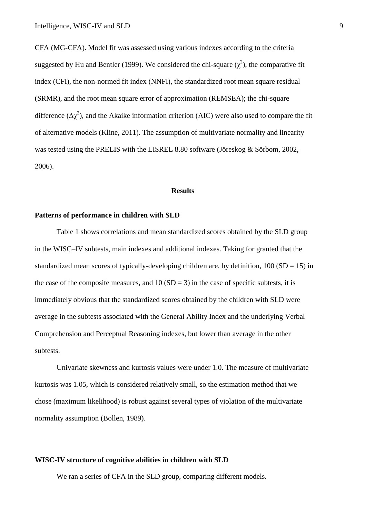CFA (MG-CFA). Model fit was assessed using various indexes according to the criteria suggested by Hu and Bentler (1999). We considered the chi-square  $(\chi^2)$ , the comparative fit index (CFI), the non-normed fit index (NNFI), the standardized root mean square residual (SRMR), and the root mean square error of approximation (REMSEA); the chi-square difference ( $\Delta \chi^2$ ), and the Akaike information criterion (AIC) were also used to compare the fit of alternative models (Kline, 2011). The assumption of multivariate normality and linearity was tested using the PRELIS with the LISREL 8.80 software (Jöreskog & Sörbom, 2002, 2006).

#### **Results**

### **Patterns of performance in children with SLD**

Table 1 shows correlations and mean standardized scores obtained by the SLD group in the WISC–IV subtests, main indexes and additional indexes. Taking for granted that the standardized mean scores of typically-developing children are, by definition,  $100 (SD = 15)$  in the case of the composite measures, and  $10 (SD = 3)$  in the case of specific subtests, it is immediately obvious that the standardized scores obtained by the children with SLD were average in the subtests associated with the General Ability Index and the underlying Verbal Comprehension and Perceptual Reasoning indexes, but lower than average in the other subtests.

Univariate skewness and kurtosis values were under 1.0. The measure of multivariate kurtosis was 1.05, which is considered relatively small, so the estimation method that we chose (maximum likelihood) is robust against several types of violation of the multivariate normality assumption (Bollen, 1989).

#### **WISC-IV structure of cognitive abilities in children with SLD**

We ran a series of CFA in the SLD group, comparing different models.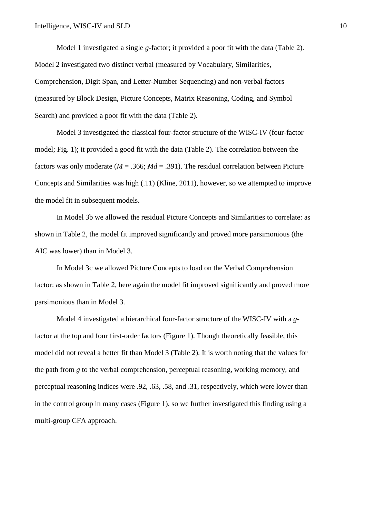Model 1 investigated a single *g*-factor; it provided a poor fit with the data (Table 2). Model 2 investigated two distinct verbal (measured by Vocabulary, Similarities, Comprehension, Digit Span, and Letter-Number Sequencing) and non-verbal factors (measured by Block Design, Picture Concepts, Matrix Reasoning, Coding, and Symbol Search) and provided a poor fit with the data (Table 2).

Model 3 investigated the classical four-factor structure of the WISC-IV (four-factor model; Fig. 1); it provided a good fit with the data (Table 2). The correlation between the factors was only moderate ( $M = 0.366$ ;  $Md = 0.391$ ). The residual correlation between Picture Concepts and Similarities was high (.11) (Kline, 2011), however, so we attempted to improve the model fit in subsequent models.

In Model 3b we allowed the residual Picture Concepts and Similarities to correlate: as shown in Table 2, the model fit improved significantly and proved more parsimonious (the AIC was lower) than in Model 3.

In Model 3c we allowed Picture Concepts to load on the Verbal Comprehension factor: as shown in Table 2, here again the model fit improved significantly and proved more parsimonious than in Model 3.

Model 4 investigated a hierarchical four-factor structure of the WISC-IV with a *g*factor at the top and four first-order factors (Figure 1). Though theoretically feasible, this model did not reveal a better fit than Model 3 (Table 2). It is worth noting that the values for the path from *g* to the verbal comprehension, perceptual reasoning, working memory, and perceptual reasoning indices were .92, .63, .58, and .31, respectively, which were lower than in the control group in many cases (Figure 1), so we further investigated this finding using a multi-group CFA approach.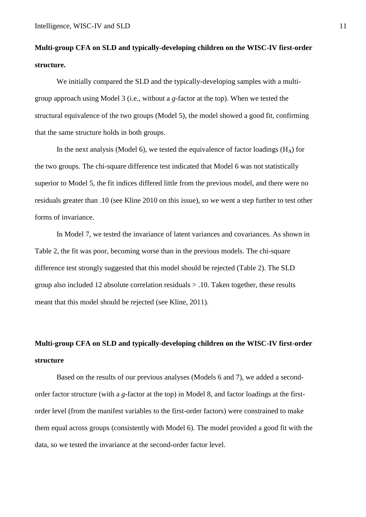# **Multi-group CFA on SLD and typically-developing children on the WISC-IV first-order structure.**

We initially compared the SLD and the typically-developing samples with a multigroup approach using Model 3 (i.e., without a *g*-factor at the top). When we tested the structural equivalence of the two groups (Model 5), the model showed a good fit, confirming that the same structure holds in both groups.

In the next analysis (Model 6), we tested the equivalence of factor loadings (H**Λ**) for the two groups. The chi-square difference test indicated that Model 6 was not statistically superior to Model 5, the fit indices differed little from the previous model, and there were no residuals greater than .10 (see Kline 2010 on this issue), so we went a step further to test other forms of invariance.

In Model 7, we tested the invariance of latent variances and covariances. As shown in Table 2, the fit was poor, becoming worse than in the previous models. The chi-square difference test strongly suggested that this model should be rejected (Table 2). The SLD group also included 12 absolute correlation residuals > .10. Taken together, these results meant that this model should be rejected (see Kline, 2011).

# **Multi-group CFA on SLD and typically-developing children on the WISC-IV first-order structure**

Based on the results of our previous analyses (Models 6 and 7), we added a secondorder factor structure (with a *g*-factor at the top) in Model 8, and factor loadings at the firstorder level (from the manifest variables to the first-order factors) were constrained to make them equal across groups (consistently with Model 6). The model provided a good fit with the data, so we tested the invariance at the second-order factor level.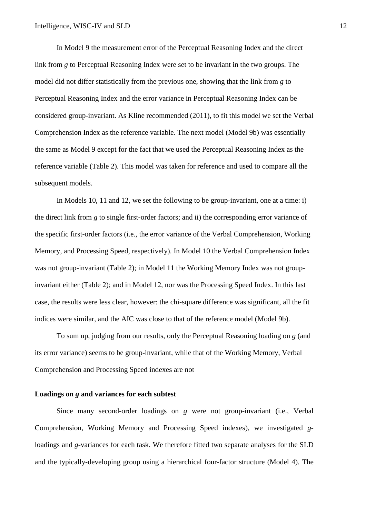In Model 9 the measurement error of the Perceptual Reasoning Index and the direct link from *g* to Perceptual Reasoning Index were set to be invariant in the two groups. The model did not differ statistically from the previous one, showing that the link from *g* to Perceptual Reasoning Index and the error variance in Perceptual Reasoning Index can be considered group-invariant. As Kline recommended (2011), to fit this model we set the Verbal Comprehension Index as the reference variable. The next model (Model 9b) was essentially the same as Model 9 except for the fact that we used the Perceptual Reasoning Index as the reference variable (Table 2). This model was taken for reference and used to compare all the subsequent models.

In Models 10, 11 and 12, we set the following to be group-invariant, one at a time: i) the direct link from *g* to single first-order factors; and ii) the corresponding error variance of the specific first-order factors (i.e., the error variance of the Verbal Comprehension, Working Memory, and Processing Speed, respectively). In Model 10 the Verbal Comprehension Index was not group-invariant (Table 2); in Model 11 the Working Memory Index was not groupinvariant either (Table 2); and in Model 12, nor was the Processing Speed Index. In this last case, the results were less clear, however: the chi-square difference was significant, all the fit indices were similar, and the AIC was close to that of the reference model (Model 9b).

To sum up, judging from our results, only the Perceptual Reasoning loading on *g* (and its error variance) seems to be group-invariant, while that of the Working Memory, Verbal Comprehension and Processing Speed indexes are not

### **Loadings on** *g* **and variances for each subtest**

Since many second-order loadings on *g* were not group-invariant (i.e., Verbal Comprehension, Working Memory and Processing Speed indexes), we investigated *g*loadings and *g*-variances for each task. We therefore fitted two separate analyses for the SLD and the typically-developing group using a hierarchical four-factor structure (Model 4). The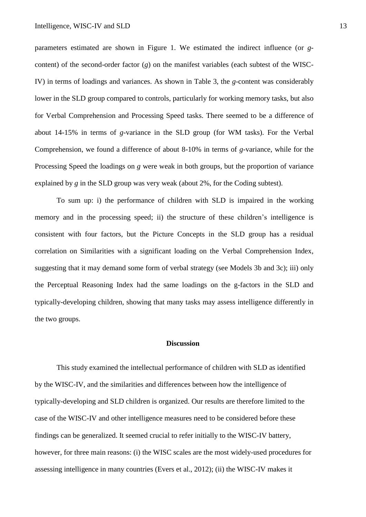parameters estimated are shown in Figure 1. We estimated the indirect influence (or *g*content) of the second-order factor (*g*) on the manifest variables (each subtest of the WISC-IV) in terms of loadings and variances. As shown in Table 3, the *g*-content was considerably lower in the SLD group compared to controls, particularly for working memory tasks, but also for Verbal Comprehension and Processing Speed tasks. There seemed to be a difference of about 14-15% in terms of *g*-variance in the SLD group (for WM tasks). For the Verbal Comprehension, we found a difference of about 8-10% in terms of *g*-variance, while for the Processing Speed the loadings on *g* were weak in both groups, but the proportion of variance explained by *g* in the SLD group was very weak (about 2%, for the Coding subtest).

To sum up: i) the performance of children with SLD is impaired in the working memory and in the processing speed; ii) the structure of these children's intelligence is consistent with four factors, but the Picture Concepts in the SLD group has a residual correlation on Similarities with a significant loading on the Verbal Comprehension Index, suggesting that it may demand some form of verbal strategy (see Models 3b and 3c); iii) only the Perceptual Reasoning Index had the same loadings on the g-factors in the SLD and typically-developing children, showing that many tasks may assess intelligence differently in the two groups.

#### **Discussion**

This study examined the intellectual performance of children with SLD as identified by the WISC-IV, and the similarities and differences between how the intelligence of typically-developing and SLD children is organized. Our results are therefore limited to the case of the WISC-IV and other intelligence measures need to be considered before these findings can be generalized. It seemed crucial to refer initially to the WISC-IV battery, however, for three main reasons: (i) the WISC scales are the most widely-used procedures for assessing intelligence in many countries (Evers et al., 2012); (ii) the WISC-IV makes it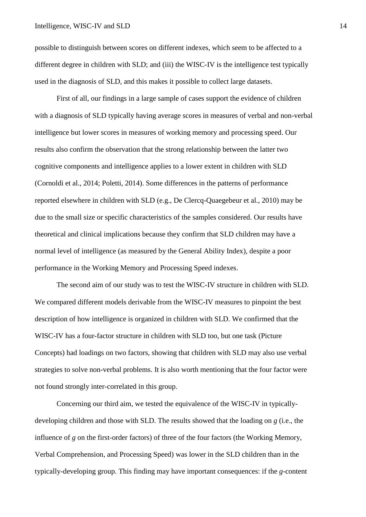possible to distinguish between scores on different indexes, which seem to be affected to a different degree in children with SLD; and (iii) the WISC-IV is the intelligence test typically used in the diagnosis of SLD, and this makes it possible to collect large datasets.

First of all, our findings in a large sample of cases support the evidence of children with a diagnosis of SLD typically having average scores in measures of verbal and non-verbal intelligence but lower scores in measures of working memory and processing speed. Our results also confirm the observation that the strong relationship between the latter two cognitive components and intelligence applies to a lower extent in children with SLD (Cornoldi et al., 2014; Poletti, 2014). Some differences in the patterns of performance reported elsewhere in children with SLD (e.g., De Clercq-Quaegebeur et al., 2010) may be due to the small size or specific characteristics of the samples considered. Our results have theoretical and clinical implications because they confirm that SLD children may have a normal level of intelligence (as measured by the General Ability Index), despite a poor performance in the Working Memory and Processing Speed indexes.

The second aim of our study was to test the WISC-IV structure in children with SLD. We compared different models derivable from the WISC-IV measures to pinpoint the best description of how intelligence is organized in children with SLD. We confirmed that the WISC-IV has a four-factor structure in children with SLD too, but one task (Picture Concepts) had loadings on two factors, showing that children with SLD may also use verbal strategies to solve non-verbal problems. It is also worth mentioning that the four factor were not found strongly inter-correlated in this group.

Concerning our third aim, we tested the equivalence of the WISC-IV in typicallydeveloping children and those with SLD. The results showed that the loading on *g* (i.e., the influence of *g* on the first-order factors) of three of the four factors (the Working Memory, Verbal Comprehension, and Processing Speed) was lower in the SLD children than in the typically-developing group. This finding may have important consequences: if the *g*-content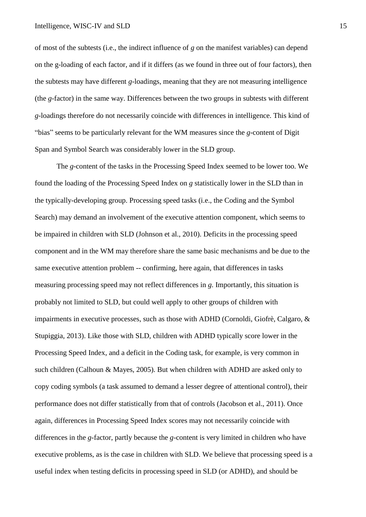of most of the subtests (i.e., the indirect influence of *g* on the manifest variables) can depend on the g-loading of each factor, and if it differs (as we found in three out of four factors), then the subtests may have different *g*-loadings, meaning that they are not measuring intelligence (the *g*-factor) in the same way. Differences between the two groups in subtests with different *g*-loadings therefore do not necessarily coincide with differences in intelligence. This kind of "bias" seems to be particularly relevant for the WM measures since the *g*-content of Digit Span and Symbol Search was considerably lower in the SLD group.

The *g*-content of the tasks in the Processing Speed Index seemed to be lower too. We found the loading of the Processing Speed Index on *g* statistically lower in the SLD than in the typically-developing group. Processing speed tasks (i.e., the Coding and the Symbol Search) may demand an involvement of the executive attention component, which seems to be impaired in children with SLD (Johnson et al., 2010). Deficits in the processing speed component and in the WM may therefore share the same basic mechanisms and be due to the same executive attention problem -- confirming, here again, that differences in tasks measuring processing speed may not reflect differences in *g*. Importantly, this situation is probably not limited to SLD, but could well apply to other groups of children with impairments in executive processes, such as those with ADHD (Cornoldi, Giofrè, Calgaro, & Stupiggia, 2013). Like those with SLD, children with ADHD typically score lower in the Processing Speed Index, and a deficit in the Coding task, for example, is very common in such children (Calhoun & Mayes, 2005). But when children with ADHD are asked only to copy coding symbols (a task assumed to demand a lesser degree of attentional control), their performance does not differ statistically from that of controls (Jacobson et al., 2011). Once again, differences in Processing Speed Index scores may not necessarily coincide with differences in the *g*-factor, partly because the *g*-content is very limited in children who have executive problems, as is the case in children with SLD. We believe that processing speed is a useful index when testing deficits in processing speed in SLD (or ADHD), and should be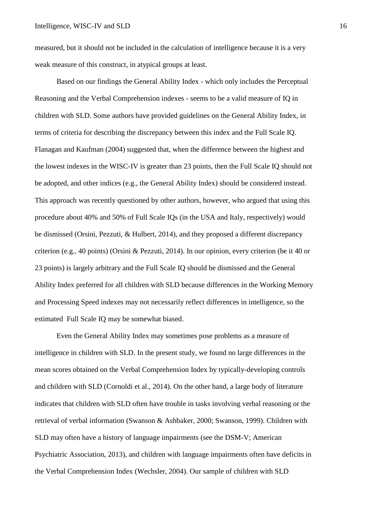measured, but it should not be included in the calculation of intelligence because it is a very weak measure of this construct, in atypical groups at least.

Based on our findings the General Ability Index - which only includes the Perceptual Reasoning and the Verbal Comprehension indexes - seems to be a valid measure of IQ in children with SLD. Some authors have provided guidelines on the General Ability Index, in terms of criteria for describing the discrepancy between this index and the Full Scale IQ. Flanagan and Kaufman (2004) suggested that, when the difference between the highest and the lowest indexes in the WISC-IV is greater than 23 points, then the Full Scale IQ should not be adopted, and other indices (e.g., the General Ability Index) should be considered instead. This approach was recently questioned by other authors, however, who argued that using this procedure about 40% and 50% of Full Scale IQs (in the USA and Italy, respectively) would be dismissed (Orsini, Pezzuti, & Hulbert, 2014), and they proposed a different discrepancy criterion (e.g., 40 points) (Orsini & Pezzuti, 2014). In our opinion, every criterion (be it 40 or 23 points) is largely arbitrary and the Full Scale IQ should be dismissed and the General Ability Index preferred for all children with SLD because differences in the Working Memory and Processing Speed indexes may not necessarily reflect differences in intelligence, so the estimated Full Scale IQ may be somewhat biased.

Even the General Ability Index may sometimes pose problems as a measure of intelligence in children with SLD. In the present study, we found no large differences in the mean scores obtained on the Verbal Comprehension Index by typically-developing controls and children with SLD (Cornoldi et al., 2014). On the other hand, a large body of literature indicates that children with SLD often have trouble in tasks involving verbal reasoning or the retrieval of verbal information (Swanson & Ashbaker, 2000; Swanson, 1999). Children with SLD may often have a history of language impairments (see the DSM-V; American Psychiatric Association, 2013), and children with language impairments often have deficits in the Verbal Comprehension Index (Wechsler, 2004). Our sample of children with SLD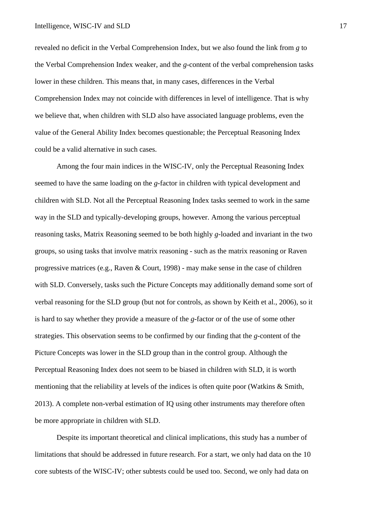revealed no deficit in the Verbal Comprehension Index, but we also found the link from *g* to the Verbal Comprehension Index weaker, and the *g*-content of the verbal comprehension tasks lower in these children. This means that, in many cases, differences in the Verbal Comprehension Index may not coincide with differences in level of intelligence. That is why we believe that, when children with SLD also have associated language problems, even the value of the General Ability Index becomes questionable; the Perceptual Reasoning Index could be a valid alternative in such cases.

Among the four main indices in the WISC-IV, only the Perceptual Reasoning Index seemed to have the same loading on the *g*-factor in children with typical development and children with SLD. Not all the Perceptual Reasoning Index tasks seemed to work in the same way in the SLD and typically-developing groups, however. Among the various perceptual reasoning tasks, Matrix Reasoning seemed to be both highly *g*-loaded and invariant in the two groups, so using tasks that involve matrix reasoning - such as the matrix reasoning or Raven progressive matrices (e.g., Raven & Court, 1998) - may make sense in the case of children with SLD. Conversely, tasks such the Picture Concepts may additionally demand some sort of verbal reasoning for the SLD group (but not for controls, as shown by Keith et al., 2006), so it is hard to say whether they provide a measure of the *g*-factor or of the use of some other strategies. This observation seems to be confirmed by our finding that the *g*-content of the Picture Concepts was lower in the SLD group than in the control group. Although the Perceptual Reasoning Index does not seem to be biased in children with SLD, it is worth mentioning that the reliability at levels of the indices is often quite poor (Watkins & Smith, 2013). A complete non-verbal estimation of IQ using other instruments may therefore often be more appropriate in children with SLD.

Despite its important theoretical and clinical implications, this study has a number of limitations that should be addressed in future research. For a start, we only had data on the 10 core subtests of the WISC-IV; other subtests could be used too. Second, we only had data on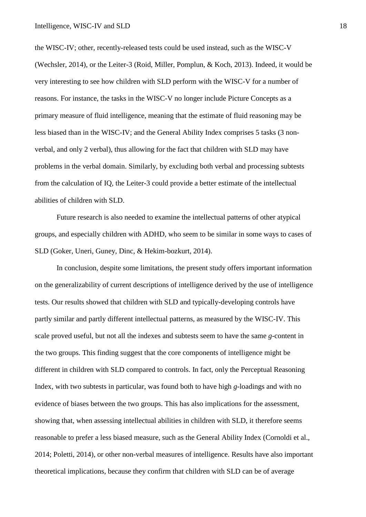the WISC-IV; other, recently-released tests could be used instead, such as the WISC-V (Wechsler, 2014), or the Leiter-3 (Roid, Miller, Pomplun, & Koch, 2013). Indeed, it would be very interesting to see how children with SLD perform with the WISC-V for a number of reasons. For instance, the tasks in the WISC-V no longer include Picture Concepts as a primary measure of fluid intelligence, meaning that the estimate of fluid reasoning may be less biased than in the WISC-IV; and the General Ability Index comprises 5 tasks (3 nonverbal, and only 2 verbal), thus allowing for the fact that children with SLD may have problems in the verbal domain. Similarly, by excluding both verbal and processing subtests from the calculation of IQ, the Leiter-3 could provide a better estimate of the intellectual abilities of children with SLD.

Future research is also needed to examine the intellectual patterns of other atypical groups, and especially children with ADHD, who seem to be similar in some ways to cases of SLD (Goker, Uneri, Guney, Dinc, & Hekim-bozkurt, 2014).

In conclusion, despite some limitations, the present study offers important information on the generalizability of current descriptions of intelligence derived by the use of intelligence tests. Our results showed that children with SLD and typically-developing controls have partly similar and partly different intellectual patterns, as measured by the WISC-IV. This scale proved useful, but not all the indexes and subtests seem to have the same *g*-content in the two groups. This finding suggest that the core components of intelligence might be different in children with SLD compared to controls. In fact, only the Perceptual Reasoning Index, with two subtests in particular, was found both to have high *g*-loadings and with no evidence of biases between the two groups. This has also implications for the assessment, showing that, when assessing intellectual abilities in children with SLD, it therefore seems reasonable to prefer a less biased measure, such as the General Ability Index (Cornoldi et al., 2014; Poletti, 2014), or other non-verbal measures of intelligence. Results have also important theoretical implications, because they confirm that children with SLD can be of average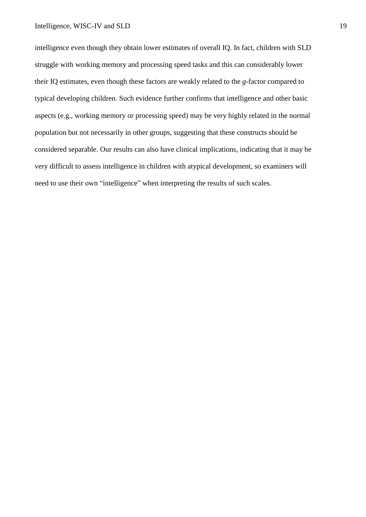intelligence even though they obtain lower estimates of overall IQ. In fact, children with SLD struggle with working memory and processing speed tasks and this can considerably lower their IQ estimates, even though these factors are weakly related to the *g*-factor compared to typical developing children. Such evidence further confirms that intelligence and other basic aspects (e.g., working memory or processing speed) may be very highly related in the normal population but not necessarily in other groups, suggesting that these constructs should be considered separable. Our results can also have clinical implications, indicating that it may be very difficult to assess intelligence in children with atypical development, so examiners will need to use their own "intelligence" when interpreting the results of such scales.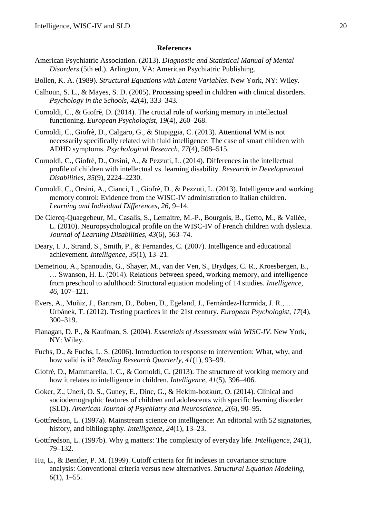#### **References**

- American Psychiatric Association. (2013). *Diagnostic and Statistical Manual of Mental Disorders* (5th ed.). Arlington, VA: American Psychiatric Publishing.
- Bollen, K. A. (1989). *Structural Equations with Latent Variables*. New York, NY: Wiley.
- Calhoun, S. L., & Mayes, S. D. (2005). Processing speed in children with clinical disorders. *Psychology in the Schools*, *42*(4), 333–343.
- Cornoldi, C., & Giofrè, D. (2014). The crucial role of working memory in intellectual functioning. *European Psychologist*, *19*(4), 260–268.
- Cornoldi, C., Giofrè, D., Calgaro, G., & Stupiggia, C. (2013). Attentional WM is not necessarily specifically related with fluid intelligence: The case of smart children with ADHD symptoms. *Psychological Research*, *77*(4), 508–515.
- Cornoldi, C., Giofrè, D., Orsini, A., & Pezzuti, L. (2014). Differences in the intellectual profile of children with intellectual vs. learning disability. *Research in Developmental Disabilities*, *35*(9), 2224–2230.
- Cornoldi, C., Orsini, A., Cianci, L., Giofrè, D., & Pezzuti, L. (2013). Intelligence and working memory control: Evidence from the WISC-IV administration to Italian children. *Learning and Individual Differences*, *26*, 9–14.
- De Clercq-Quaegebeur, M., Casalis, S., Lemaitre, M.-P., Bourgois, B., Getto, M., & Vallée, L. (2010). Neuropsychological profile on the WISC-IV of French children with dyslexia. *Journal of Learning Disabilities*, *43*(6), 563–74.
- Deary, I. J., Strand, S., Smith, P., & Fernandes, C. (2007). Intelligence and educational achievement. *Intelligence*, *35*(1), 13–21.
- Demetriou, A., Spanoudis, G., Shayer, M., van der Ven, S., Brydges, C. R., Kroesbergen, E., … Swanson, H. L. (2014). Relations between speed, working memory, and intelligence from preschool to adulthood: Structural equation modeling of 14 studies. *Intelligence*, *46*, 107–121.
- Evers, A., Muñiz, J., Bartram, D., Boben, D., Egeland, J., Fernández-Hermida, J. R., … Urbánek, T. (2012). Testing practices in the 21st century. *European Psychologist*, *17*(4), 300–319.
- Flanagan, D. P., & Kaufman, S. (2004). *Essentials of Assessment with WISC-IV*. New York, NY: Wiley.
- Fuchs, D., & Fuchs, L. S. (2006). Introduction to response to intervention: What, why, and how valid is it? *Reading Research Quarterly*, *41*(1), 93–99.
- Giofrè, D., Mammarella, I. C., & Cornoldi, C. (2013). The structure of working memory and how it relates to intelligence in children. *Intelligence*, *41*(5), 396–406.
- Goker, Z., Uneri, O. S., Guney, E., Dinc, G., & Hekim-bozkurt, O. (2014). Clinical and sociodemographic features of children and adolescents with specific learning disorder (SLD). *American Journal of Psychiatry and Neuroscience*, *2*(6), 90–95.
- Gottfredson, L. (1997a). Mainstream science on intelligence: An editorial with 52 signatories, history, and bibliography. *Intelligence*, *24*(1), 13–23.
- Gottfredson, L. (1997b). Why g matters: The complexity of everyday life. *Intelligence*, *24*(1), 79–132.
- Hu, L., & Bentler, P. M. (1999). Cutoff criteria for fit indexes in covariance structure analysis: Conventional criteria versus new alternatives. *Structural Equation Modeling*, *6*(1), 1–55.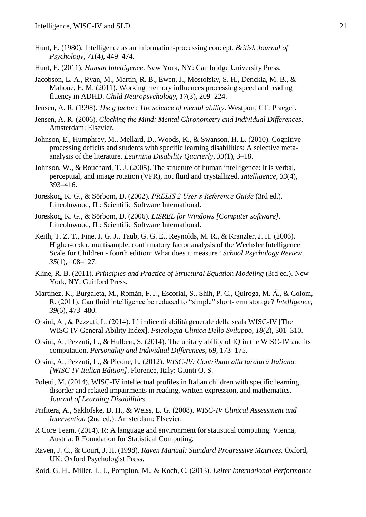- Hunt, E. (1980). Intelligence as an information-processing concept. *British Journal of Psychology*, *71*(4), 449–474.
- Hunt, E. (2011). *Human Intelligence*. New York, NY: Cambridge University Press.
- Jacobson, L. A., Ryan, M., Martin, R. B., Ewen, J., Mostofsky, S. H., Denckla, M. B., & Mahone, E. M. (2011). Working memory influences processing speed and reading fluency in ADHD. *Child Neuropsychology*, *17*(3), 209–224.
- Jensen, A. R. (1998). *The g factor: The science of mental ability*. Westport, CT: Praeger.
- Jensen, A. R. (2006). *Clocking the Mind: Mental Chronometry and Individual Differences*. Amsterdam: Elsevier.
- Johnson, E., Humphrey, M., Mellard, D., Woods, K., & Swanson, H. L. (2010). Cognitive processing deficits and students with specific learning disabilities: A selective metaanalysis of the literature. *Learning Disability Quarterly*, *33*(1), 3–18.
- Johnson, W., & Bouchard, T. J. (2005). The structure of human intelligence: It is verbal, perceptual, and image rotation (VPR), not fluid and crystallized. *Intelligence*, *33*(4), 393–416.
- Jöreskog, K. G., & Sörbom, D. (2002). *PRELIS 2 User's Reference Guide* (3rd ed.). Lincolnwood, IL: Scientific Software International.
- Jöreskog, K. G., & Sörbom, D. (2006). *LISREL for Windows [Computer software].* Lincolnwood, IL: Scientific Software International.
- Keith, T. Z. T., Fine, J. G. J., Taub, G. G. E., Reynolds, M. R., & Kranzler, J. H. (2006). Higher-order, multisample, confirmatory factor analysis of the Wechsler Intelligence Scale for Children - fourth edition: What does it measure? *School Psychology Review*, *35*(1), 108–127.
- Kline, R. B. (2011). *Principles and Practice of Structural Equation Modeling* (3rd ed.). New York, NY: Guilford Press.
- Martínez, K., Burgaleta, M., Román, F. J., Escorial, S., Shih, P. C., Quiroga, M. Á., & Colom, R. (2011). Can fluid intelligence be reduced to "simple" short-term storage? *Intelligence*, *39*(6), 473–480.
- Orsini, A., & Pezzuti, L. (2014). L' indice di abilità generale della scala WISC-IV [The WISC-IV General Ability Index]. *Psicologia Clinica Dello Sviluppo*, *18*(2), 301–310.
- Orsini, A., Pezzuti, L., & Hulbert, S. (2014). The unitary ability of IQ in the WISC-IV and its computation. *Personality and Individual Differences*, *69*, 173–175.
- Orsini, A., Pezzuti, L., & Picone, L. (2012). *WISC-IV: Contributo alla taratura Italiana. [WISC-IV Italian Edition]*. Florence, Italy: Giunti O. S.
- Poletti, M. (2014). WISC-IV intellectual profiles in Italian children with specific learning disorder and related impairments in reading, written expression, and mathematics. *Journal of Learning Disabilities*.
- Prifitera, A., Saklofske, D. H., & Weiss, L. G. (2008). *WISC-IV Clinical Assessment and Intervention* (2nd ed.). Amsterdam: Elsevier.
- R Core Team. (2014). R: A language and environment for statistical computing. Vienna, Austria: R Foundation for Statistical Computing.
- Raven, J. C., & Court, J. H. (1998). *Raven Manual: Standard Progressive Matrices.* Oxford, UK: Oxford Psychologist Press.
- Roid, G. H., Miller, L. J., Pomplun, M., & Koch, C. (2013). *Leiter International Performance*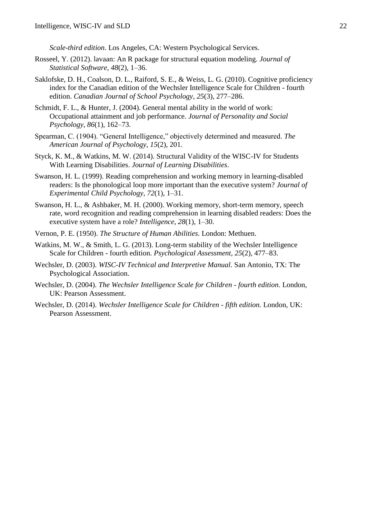*Scale-third edition*. Los Angeles, CA: Western Psychological Services.

- Rosseel, Y. (2012). lavaan: An R package for structural equation modeling. *Journal of Statistical Software*, *48*(2), 1–36.
- Saklofske, D. H., Coalson, D. L., Raiford, S. E., & Weiss, L. G. (2010). Cognitive proficiency index for the Canadian edition of the Wechsler Intelligence Scale for Children - fourth edition. *Canadian Journal of School Psychology*, *25*(3), 277–286.
- Schmidt, F. L., & Hunter, J. (2004). General mental ability in the world of work: Occupational attainment and job performance. *Journal of Personality and Social Psychology*, *86*(1), 162–73.
- Spearman, C. (1904). "General Intelligence," objectively determined and measured. *The American Journal of Psychology*, *15*(2), 201.
- Styck, K. M., & Watkins, M. W. (2014). Structural Validity of the WISC-IV for Students With Learning Disabilities. *Journal of Learning Disabilities*.
- Swanson, H. L. (1999). Reading comprehension and working memory in learning-disabled readers: Is the phonological loop more important than the executive system? *Journal of Experimental Child Psychology*, *72*(1), 1–31.
- Swanson, H. L., & Ashbaker, M. H. (2000). Working memory, short-term memory, speech rate, word recognition and reading comprehension in learning disabled readers: Does the executive system have a role? *Intelligence*, *28*(1), 1–30.
- Vernon, P. E. (1950). *The Structure of Human Abilities*. London: Methuen.
- Watkins, M. W., & Smith, L. G. (2013). Long-term stability of the Wechsler Intelligence Scale for Children - fourth edition. *Psychological Assessment*, *25*(2), 477–83.
- Wechsler, D. (2003). *WISC-IV Technical and Interpretive Manual*. San Antonio, TX: The Psychological Association.
- Wechsler, D. (2004). *The Wechsler Intelligence Scale for Children - fourth edition*. London, UK: Pearson Assessment.
- Wechsler, D. (2014). *Wechsler Intelligence Scale for Children - fifth edition.* London, UK: Pearson Assessment.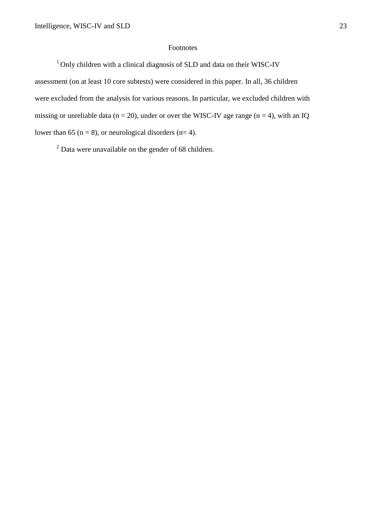### Footnotes

<sup>1</sup> Only children with a clinical diagnosis of SLD and data on their WISC-IV

assessment (on at least 10 core subtests) were considered in this paper. In all, 36 children were excluded from the analysis for various reasons. In particular, we excluded children with missing or unreliable data ( $n = 20$ ), under or over the WISC-IV age range ( $n = 4$ ), with an IQ lower than 65 ( $n = 8$ ), or neurological disorders ( $n= 4$ ).

<sup>2</sup> Data were unavailable on the gender of 68 children.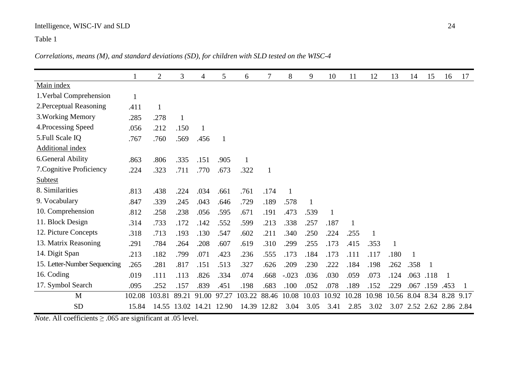# Intelligence, WISC-IV and SLD 24

# Table 1

*Correlations, means (M), and standard deviations (SD), for children with SLD tested on the WISC-4* 

|                              |              | $\overline{2}$ | 3     | $\overline{4}$ | 5            | 6      | 7            | 8       | 9     | 10           | 11    | 12    | 13                   | 14   | 15           | 16                  | 17   |
|------------------------------|--------------|----------------|-------|----------------|--------------|--------|--------------|---------|-------|--------------|-------|-------|----------------------|------|--------------|---------------------|------|
| Main index                   |              |                |       |                |              |        |              |         |       |              |       |       |                      |      |              |                     |      |
| 1. Verbal Comprehension      | $\mathbf{1}$ |                |       |                |              |        |              |         |       |              |       |       |                      |      |              |                     |      |
| 2. Perceptual Reasoning      | .411         | 1              |       |                |              |        |              |         |       |              |       |       |                      |      |              |                     |      |
| 3. Working Memory            | .285         | .278           | 1     |                |              |        |              |         |       |              |       |       |                      |      |              |                     |      |
| 4. Processing Speed          | .056         | .212           | .150  | $\mathbf{1}$   |              |        |              |         |       |              |       |       |                      |      |              |                     |      |
| 5. Full Scale IQ             | .767         | .760           | .569  | .456           | $\mathbf{1}$ |        |              |         |       |              |       |       |                      |      |              |                     |      |
| <b>Additional index</b>      |              |                |       |                |              |        |              |         |       |              |       |       |                      |      |              |                     |      |
| 6. General Ability           | .863         | .806           | .335  | .151           | .905         |        |              |         |       |              |       |       |                      |      |              |                     |      |
| 7. Cognitive Proficiency     | .224         | .323           | .711  | .770           | .673         | .322   | $\mathbf{1}$ |         |       |              |       |       |                      |      |              |                     |      |
| Subtest                      |              |                |       |                |              |        |              |         |       |              |       |       |                      |      |              |                     |      |
| 8. Similarities              | .813         | .438           | .224  | .034           | .661         | .761   | .174         | 1       |       |              |       |       |                      |      |              |                     |      |
| 9. Vocabulary                | .847         | .339           | .245  | .043           | .646         | .729   | .189         | .578    | 1     |              |       |       |                      |      |              |                     |      |
| 10. Comprehension            | .812         | .258           | .238  | .056           | .595         | .671   | .191         | .473    | .539  | $\mathbf{1}$ |       |       |                      |      |              |                     |      |
| 11. Block Design             | .314         | .733           | .172  | .142           | .552         | .599   | .213         | .338    | .257  | .187         |       |       |                      |      |              |                     |      |
| 12. Picture Concepts         | .318         | .713           | .193  | .130           | .547         | .602   | .211         | .340    | .250  | .224         | .255  | 1     |                      |      |              |                     |      |
| 13. Matrix Reasoning         | .291         | .784           | .264  | .208           | .607         | .619   | .310         | .299    | .255  | .173         | .415  | .353  |                      |      |              |                     |      |
| 14. Digit Span               | .213         | .182           | .799  | .071           | .423         | .236   | .555         | .173    | .184  | .173         | .111  | .117  | .180                 |      |              |                     |      |
| 15. Letter-Number Sequencing | .265         | .281           | .817  | .151           | .513         | .327   | .626         | .209    | .230  | .222         | .184  | .198  | .262                 | .358 | $\mathbf{1}$ |                     |      |
| 16. Coding                   | .019         | .111           | .113  | .826           | .334         | .074   | .668         | $-.023$ | .036  | .030         | .059  | .073  | .124                 | .063 | .118         | 1                   |      |
| 17. Symbol Search            | .095         | .252           | .157  | .839           | .451         | .198   | .683         | .100    | .052  | .078         | .189  | .152  | .229                 | .067 | .159         | .453                |      |
| M                            | 102.08       | 103.81         | 89.21 | 91.00          | 97.27        | 103.22 | 88.46        | 10.08   | 10.03 | 10.92        | 10.28 | 10.98 | 10.56 8.04 8.34 8.28 |      |              |                     | 9.17 |
| <b>SD</b>                    | 15.84        | 14.55          | 13.02 | 14.21          | 12.90        | 14.39  | 12.82        | 3.04    | 3.05  | 3.41         | 2.85  | 3.02  | 3.07                 |      |              | 2.52 2.62 2.86 2.84 |      |

*Note*. All coefficients ≥ .065 are significant at .05 level.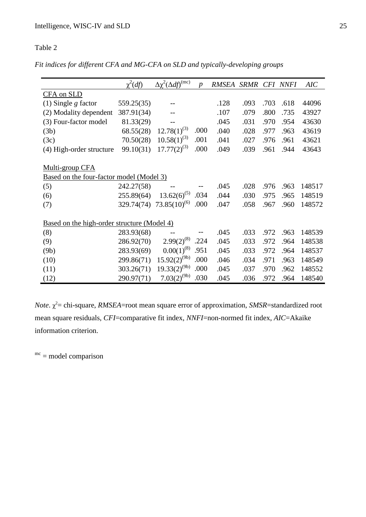## Table 2

*Fit indices for different CFA and MG-CFA on SLD and typically-developing groups* 

|                                             | $\chi^2(df)$ | $\Delta \chi^2 (\Delta d f)^{(mc)}$ | $\boldsymbol{p}$ | <b>RMSEA</b> | SRMR CFI NNFI |      |      | AIC    |
|---------------------------------------------|--------------|-------------------------------------|------------------|--------------|---------------|------|------|--------|
| CFA on SLD                                  |              |                                     |                  |              |               |      |      |        |
| $(1)$ Single g factor                       | 559.25(35)   |                                     |                  | .128         | .093          | .703 | .618 | 44096  |
| (2) Modality dependent                      | 387.91(34)   | $-$                                 |                  | .107         | .079          | .800 | .735 | 43927  |
| (3) Four-factor model                       | 81.33(29)    |                                     |                  | .045         | .031          | .970 | .954 | 43630  |
| (3b)                                        | 68.55(28)    | $12.78(1)^{(3)}$                    | .000             | .040         | .028          | .977 | .963 | 43619  |
| (3c)                                        | 70.50(28)    | $10.58(1)^{(3)}$                    | .001             | .041         | .027          | .976 | .961 | 43621  |
| (4) High-order structure                    | 99.10(31)    | $17.77(2)^{(3)}$                    | .000             | .049         | .039          | .961 | .944 | 43643  |
|                                             |              |                                     |                  |              |               |      |      |        |
| Multi-group CFA                             |              |                                     |                  |              |               |      |      |        |
| Based on the four-factor model (Model 3)    |              |                                     |                  |              |               |      |      |        |
| (5)                                         | 242.27(58)   |                                     |                  | .045         | .028          | .976 | .963 | 148517 |
| (6)                                         | 255.89(64)   | $13.62(6)^{(5)}$                    | .034             | .044         | .030          | .975 | .965 | 148519 |
| (7)                                         | 329.74(74)   | $73.85(10)^{(6)}$                   | .000             | .047         | .058          | .967 | .960 | 148572 |
|                                             |              |                                     |                  |              |               |      |      |        |
| Based on the high-order structure (Model 4) |              |                                     |                  |              |               |      |      |        |
| (8)                                         | 283.93(68)   |                                     |                  | .045         | .033          | .972 | .963 | 148539 |
| (9)                                         | 286.92(70)   | $2.99(2)^{(8)}$                     | .224             | .045         | .033          | .972 | .964 | 148538 |
| (9b)                                        | 283.93(69)   | $0.00(1)^{(8)}$                     | .951             | .045         | .033          | .972 | .964 | 148537 |
| (10)                                        | 299.86(71)   | $15.92(2)^{(9b)}$                   | .000             | .046         | .034          | .971 | .963 | 148549 |
| (11)                                        | 303.26(71)   | $19.33(2)^{(9b)}$                   | .000             | .045         | .037          | .970 | .962 | 148552 |
| (12)                                        | 290.97(71)   | $7.03(2)^{(9b)}$                    | .030             | .045         | .036          | .972 | .964 | 148540 |

*Note*.  $\chi^2$  = chi-square, *RMSEA*=root mean square error of approximation, *SMSR*=standardized root mean square residuals, *CFI*=comparative fit index, *NNFI*=non-normed fit index, *AIC*=Akaike information criterion.

 $<sup>mc</sup>$  = model comparison</sup>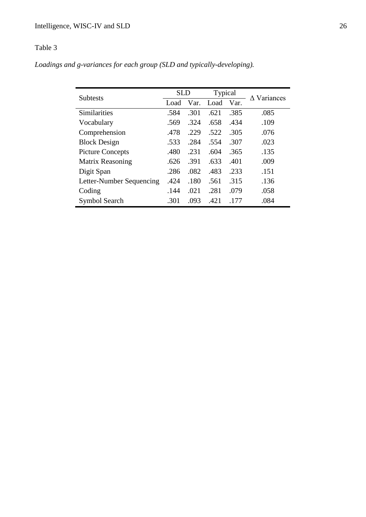# Table 3

*Loadings and g-variances for each group (SLD and typically-developing).*

| <b>Subtests</b>          | <b>SLD</b> |      | Typical |      | $\Delta$ Variances |  |  |
|--------------------------|------------|------|---------|------|--------------------|--|--|
|                          | Load       | Var. | Load    | Var. |                    |  |  |
| <b>Similarities</b>      | .584       | .301 | .621    | .385 | .085               |  |  |
| Vocabulary               | .569       | .324 | .658    | .434 | .109               |  |  |
| Comprehension            | .478       | .229 | .522    | .305 | .076               |  |  |
| <b>Block Design</b>      | .533       | .284 | .554    | .307 | .023               |  |  |
| <b>Picture Concepts</b>  | .480       | .231 | .604    | .365 | .135               |  |  |
| <b>Matrix Reasoning</b>  | .626       | .391 | .633    | .401 | .009               |  |  |
| Digit Span               | .286       | .082 | .483    | .233 | .151               |  |  |
| Letter-Number Sequencing | .424       | .180 | .561    | .315 | .136               |  |  |
| Coding                   | .144       | .021 | .281    | .079 | .058               |  |  |
| Symbol Search            | .301       | .093 | .421    | .177 | .084               |  |  |